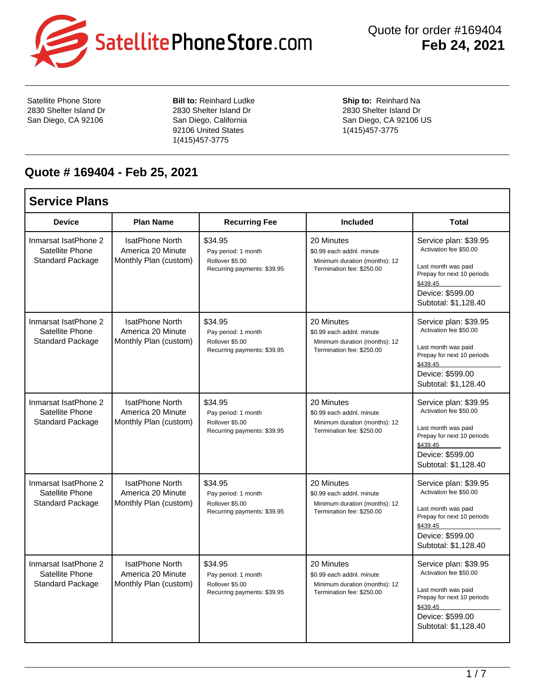

 Quote for order #169404 **Feb 24, 2021**

٦

Satellite Phone Store 2830 Shelter Island Dr San Diego, CA 92106

**Bill to: Reinhard Ludke** 2830 Shelter Island Dr San Diego, California 92106 United States 1(415)457-3775

**Ship to:** Reinhard Na 2830 Shelter Island Dr San Diego, CA 92106 US 1(415)457-3775

## **Quote # 169404 - Feb 25, 2021**

| <b>Service Plans</b>                                               |                                                                      |                                                                                  |                                                                                                       |                                                                                                                                                              |
|--------------------------------------------------------------------|----------------------------------------------------------------------|----------------------------------------------------------------------------------|-------------------------------------------------------------------------------------------------------|--------------------------------------------------------------------------------------------------------------------------------------------------------------|
| <b>Device</b>                                                      | <b>Plan Name</b>                                                     | <b>Recurring Fee</b>                                                             | <b>Included</b>                                                                                       | <b>Total</b>                                                                                                                                                 |
| Inmarsat IsatPhone 2<br>Satellite Phone<br><b>Standard Package</b> | <b>IsatPhone North</b><br>America 20 Minute<br>Monthly Plan (custom) | \$34.95<br>Pay period: 1 month<br>Rollover \$5.00<br>Recurring payments: \$39.95 | 20 Minutes<br>\$0.99 each addnl. minute<br>Minimum duration (months): 12<br>Termination fee: \$250.00 | Service plan: \$39.95<br>Activation fee \$50.00<br>Last month was paid<br>Prepay for next 10 periods<br>\$439.45<br>Device: \$599.00<br>Subtotal: \$1,128.40 |
| Inmarsat IsatPhone 2<br>Satellite Phone<br><b>Standard Package</b> | <b>IsatPhone North</b><br>America 20 Minute<br>Monthly Plan (custom) | \$34.95<br>Pay period: 1 month<br>Rollover \$5.00<br>Recurring payments: \$39.95 | 20 Minutes<br>\$0.99 each addnl. minute<br>Minimum duration (months): 12<br>Termination fee: \$250.00 | Service plan: \$39.95<br>Activation fee \$50.00<br>Last month was paid<br>Prepay for next 10 periods<br>\$439.45<br>Device: \$599.00<br>Subtotal: \$1,128.40 |
| Inmarsat IsatPhone 2<br>Satellite Phone<br><b>Standard Package</b> | <b>IsatPhone North</b><br>America 20 Minute<br>Monthly Plan (custom) | \$34.95<br>Pay period: 1 month<br>Rollover \$5.00<br>Recurring payments: \$39.95 | 20 Minutes<br>\$0.99 each addnl. minute<br>Minimum duration (months): 12<br>Termination fee: \$250.00 | Service plan: \$39.95<br>Activation fee \$50.00<br>Last month was paid<br>Prepay for next 10 periods<br>\$439.45<br>Device: \$599.00<br>Subtotal: \$1,128.40 |
| Inmarsat IsatPhone 2<br>Satellite Phone<br>Standard Package        | <b>IsatPhone North</b><br>America 20 Minute<br>Monthly Plan (custom) | \$34.95<br>Pay period: 1 month<br>Rollover \$5.00<br>Recurring payments: \$39.95 | 20 Minutes<br>\$0.99 each addnl. minute<br>Minimum duration (months): 12<br>Termination fee: \$250.00 | Service plan: \$39.95<br>Activation fee \$50.00<br>Last month was paid<br>Prepay for next 10 periods<br>\$439.45<br>Device: \$599.00<br>Subtotal: \$1,128.40 |
| Inmarsat IsatPhone 2<br>Satellite Phone<br>Standard Package        | <b>IsatPhone North</b><br>America 20 Minute<br>Monthly Plan (custom) | \$34.95<br>Pay period: 1 month<br>Rollover \$5.00<br>Recurring payments: \$39.95 | 20 Minutes<br>\$0.99 each addnl. minute<br>Minimum duration (months): 12<br>Termination fee: \$250.00 | Service plan: \$39.95<br>Activation fee \$50.00<br>Last month was paid<br>Prepay for next 10 periods<br>\$439.45<br>Device: \$599.00<br>Subtotal: \$1,128.40 |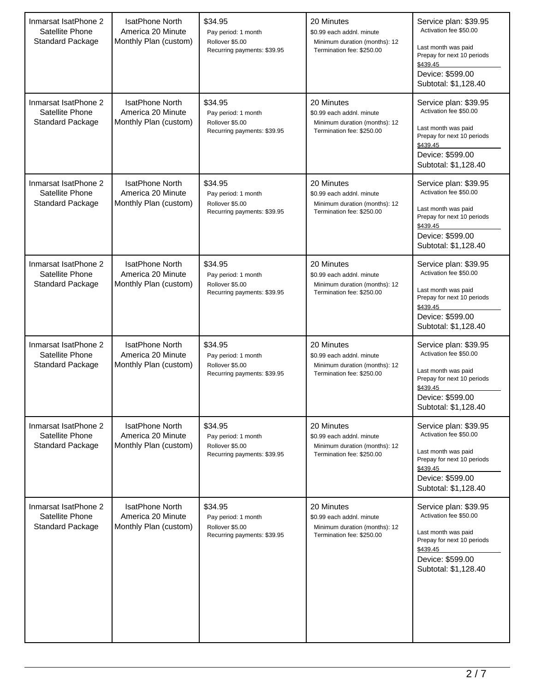| Inmarsat IsatPhone 2<br>Satellite Phone<br><b>Standard Package</b> | <b>IsatPhone North</b><br>America 20 Minute<br>Monthly Plan (custom) | \$34.95<br>Pay period: 1 month<br>Rollover \$5.00<br>Recurring payments: \$39.95 | 20 Minutes<br>\$0.99 each addnl. minute<br>Minimum duration (months): 12<br>Termination fee: \$250.00 | Service plan: \$39.95<br>Activation fee \$50.00<br>Last month was paid<br>Prepay for next 10 periods<br>\$439.45<br>Device: \$599.00<br>Subtotal: \$1,128.40 |
|--------------------------------------------------------------------|----------------------------------------------------------------------|----------------------------------------------------------------------------------|-------------------------------------------------------------------------------------------------------|--------------------------------------------------------------------------------------------------------------------------------------------------------------|
| Inmarsat IsatPhone 2<br>Satellite Phone<br><b>Standard Package</b> | <b>IsatPhone North</b><br>America 20 Minute<br>Monthly Plan (custom) | \$34.95<br>Pay period: 1 month<br>Rollover \$5.00<br>Recurring payments: \$39.95 | 20 Minutes<br>\$0.99 each addnl. minute<br>Minimum duration (months): 12<br>Termination fee: \$250.00 | Service plan: \$39.95<br>Activation fee \$50.00<br>Last month was paid<br>Prepay for next 10 periods<br>\$439.45<br>Device: \$599.00<br>Subtotal: \$1,128.40 |
| Inmarsat IsatPhone 2<br>Satellite Phone<br><b>Standard Package</b> | IsatPhone North<br>America 20 Minute<br>Monthly Plan (custom)        | \$34.95<br>Pay period: 1 month<br>Rollover \$5.00<br>Recurring payments: \$39.95 | 20 Minutes<br>\$0.99 each addnl. minute<br>Minimum duration (months): 12<br>Termination fee: \$250.00 | Service plan: \$39.95<br>Activation fee \$50.00<br>Last month was paid<br>Prepay for next 10 periods<br>\$439.45<br>Device: \$599.00<br>Subtotal: \$1,128.40 |
| Inmarsat IsatPhone 2<br>Satellite Phone<br><b>Standard Package</b> | <b>IsatPhone North</b><br>America 20 Minute<br>Monthly Plan (custom) | \$34.95<br>Pay period: 1 month<br>Rollover \$5.00<br>Recurring payments: \$39.95 | 20 Minutes<br>\$0.99 each addnl. minute<br>Minimum duration (months): 12<br>Termination fee: \$250.00 | Service plan: \$39.95<br>Activation fee \$50.00<br>Last month was paid<br>Prepay for next 10 periods<br>\$439.45<br>Device: \$599.00<br>Subtotal: \$1,128.40 |
| Inmarsat IsatPhone 2<br>Satellite Phone<br><b>Standard Package</b> | <b>IsatPhone North</b><br>America 20 Minute<br>Monthly Plan (custom) | \$34.95<br>Pay period: 1 month<br>Rollover \$5.00<br>Recurring payments: \$39.95 | 20 Minutes<br>\$0.99 each addnl. minute<br>Minimum duration (months): 12<br>Termination fee: \$250.00 | Service plan: \$39.95<br>Activation fee \$50.00<br>Last month was paid<br>Prepay for next 10 periods<br>\$439.45<br>Device: \$599.00<br>Subtotal: \$1,128.40 |
| Inmarsat IsatPhone 2<br>Satellite Phone<br><b>Standard Package</b> | <b>IsatPhone North</b><br>America 20 Minute<br>Monthly Plan (custom) | \$34.95<br>Pay period: 1 month<br>Rollover \$5.00<br>Recurring payments: \$39.95 | 20 Minutes<br>\$0.99 each addnl. minute<br>Minimum duration (months): 12<br>Termination fee: \$250.00 | Service plan: \$39.95<br>Activation fee \$50.00<br>Last month was paid<br>Prepay for next 10 periods<br>\$439.45<br>Device: \$599.00<br>Subtotal: \$1,128.40 |
| Inmarsat IsatPhone 2<br>Satellite Phone<br><b>Standard Package</b> | IsatPhone North<br>America 20 Minute<br>Monthly Plan (custom)        | \$34.95<br>Pay period: 1 month<br>Rollover \$5.00<br>Recurring payments: \$39.95 | 20 Minutes<br>\$0.99 each addnl. minute<br>Minimum duration (months): 12<br>Termination fee: \$250.00 | Service plan: \$39.95<br>Activation fee \$50.00<br>Last month was paid<br>Prepay for next 10 periods<br>\$439.45<br>Device: \$599.00<br>Subtotal: \$1,128.40 |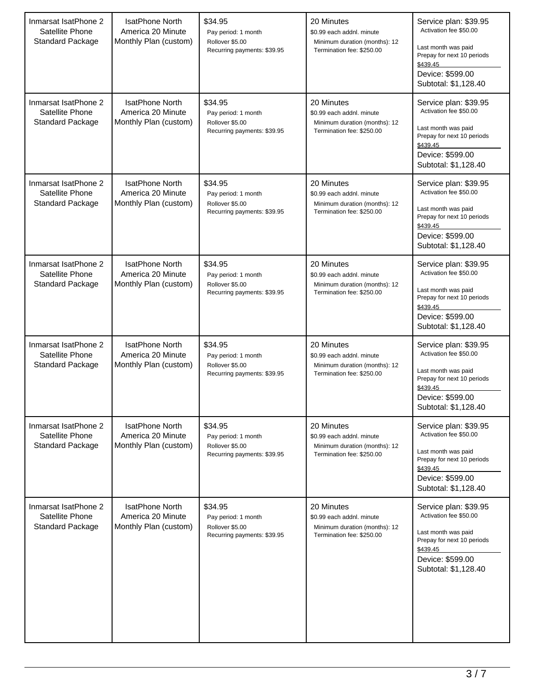| Inmarsat IsatPhone 2<br>Satellite Phone<br><b>Standard Package</b> | <b>IsatPhone North</b><br>America 20 Minute<br>Monthly Plan (custom) | \$34.95<br>Pay period: 1 month<br>Rollover \$5.00<br>Recurring payments: \$39.95 | 20 Minutes<br>\$0.99 each addnl. minute<br>Minimum duration (months): 12<br>Termination fee: \$250.00 | Service plan: \$39.95<br>Activation fee \$50.00<br>Last month was paid<br>Prepay for next 10 periods<br>\$439.45<br>Device: \$599.00<br>Subtotal: \$1,128.40 |
|--------------------------------------------------------------------|----------------------------------------------------------------------|----------------------------------------------------------------------------------|-------------------------------------------------------------------------------------------------------|--------------------------------------------------------------------------------------------------------------------------------------------------------------|
| Inmarsat IsatPhone 2<br>Satellite Phone<br><b>Standard Package</b> | <b>IsatPhone North</b><br>America 20 Minute<br>Monthly Plan (custom) | \$34.95<br>Pay period: 1 month<br>Rollover \$5.00<br>Recurring payments: \$39.95 | 20 Minutes<br>\$0.99 each addnl. minute<br>Minimum duration (months): 12<br>Termination fee: \$250.00 | Service plan: \$39.95<br>Activation fee \$50.00<br>Last month was paid<br>Prepay for next 10 periods<br>\$439.45<br>Device: \$599.00<br>Subtotal: \$1,128.40 |
| Inmarsat IsatPhone 2<br>Satellite Phone<br><b>Standard Package</b> | IsatPhone North<br>America 20 Minute<br>Monthly Plan (custom)        | \$34.95<br>Pay period: 1 month<br>Rollover \$5.00<br>Recurring payments: \$39.95 | 20 Minutes<br>\$0.99 each addnl. minute<br>Minimum duration (months): 12<br>Termination fee: \$250.00 | Service plan: \$39.95<br>Activation fee \$50.00<br>Last month was paid<br>Prepay for next 10 periods<br>\$439.45<br>Device: \$599.00<br>Subtotal: \$1,128.40 |
| Inmarsat IsatPhone 2<br>Satellite Phone<br><b>Standard Package</b> | <b>IsatPhone North</b><br>America 20 Minute<br>Monthly Plan (custom) | \$34.95<br>Pay period: 1 month<br>Rollover \$5.00<br>Recurring payments: \$39.95 | 20 Minutes<br>\$0.99 each addnl. minute<br>Minimum duration (months): 12<br>Termination fee: \$250.00 | Service plan: \$39.95<br>Activation fee \$50.00<br>Last month was paid<br>Prepay for next 10 periods<br>\$439.45<br>Device: \$599.00<br>Subtotal: \$1,128.40 |
| Inmarsat IsatPhone 2<br>Satellite Phone<br><b>Standard Package</b> | <b>IsatPhone North</b><br>America 20 Minute<br>Monthly Plan (custom) | \$34.95<br>Pay period: 1 month<br>Rollover \$5.00<br>Recurring payments: \$39.95 | 20 Minutes<br>\$0.99 each addnl. minute<br>Minimum duration (months): 12<br>Termination fee: \$250.00 | Service plan: \$39.95<br>Activation fee \$50.00<br>Last month was paid<br>Prepay for next 10 periods<br>\$439.45<br>Device: \$599.00<br>Subtotal: \$1,128.40 |
| Inmarsat IsatPhone 2<br>Satellite Phone<br><b>Standard Package</b> | <b>IsatPhone North</b><br>America 20 Minute<br>Monthly Plan (custom) | \$34.95<br>Pay period: 1 month<br>Rollover \$5.00<br>Recurring payments: \$39.95 | 20 Minutes<br>\$0.99 each addnl. minute<br>Minimum duration (months): 12<br>Termination fee: \$250.00 | Service plan: \$39.95<br>Activation fee \$50.00<br>Last month was paid<br>Prepay for next 10 periods<br>\$439.45<br>Device: \$599.00<br>Subtotal: \$1,128.40 |
| Inmarsat IsatPhone 2<br>Satellite Phone<br><b>Standard Package</b> | IsatPhone North<br>America 20 Minute<br>Monthly Plan (custom)        | \$34.95<br>Pay period: 1 month<br>Rollover \$5.00<br>Recurring payments: \$39.95 | 20 Minutes<br>\$0.99 each addnl. minute<br>Minimum duration (months): 12<br>Termination fee: \$250.00 | Service plan: \$39.95<br>Activation fee \$50.00<br>Last month was paid<br>Prepay for next 10 periods<br>\$439.45<br>Device: \$599.00<br>Subtotal: \$1,128.40 |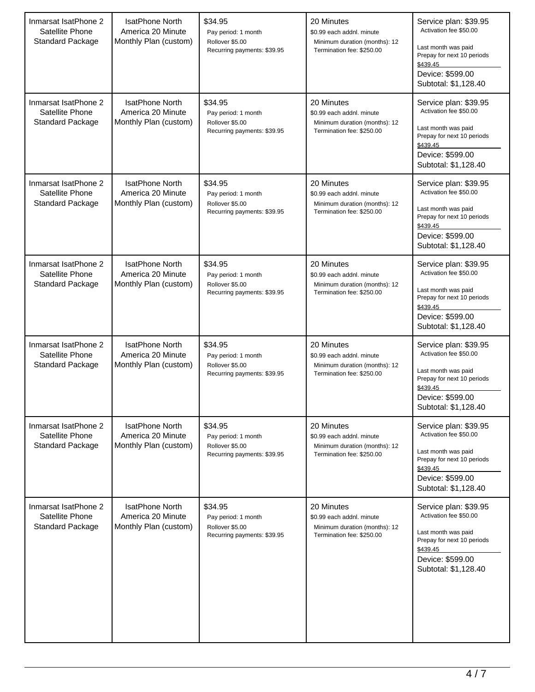| Inmarsat IsatPhone 2<br>Satellite Phone<br><b>Standard Package</b> | <b>IsatPhone North</b><br>America 20 Minute<br>Monthly Plan (custom) | \$34.95<br>Pay period: 1 month<br>Rollover \$5.00<br>Recurring payments: \$39.95 | 20 Minutes<br>\$0.99 each addnl. minute<br>Minimum duration (months): 12<br>Termination fee: \$250.00 | Service plan: \$39.95<br>Activation fee \$50.00<br>Last month was paid<br>Prepay for next 10 periods<br>\$439.45<br>Device: \$599.00<br>Subtotal: \$1,128.40 |
|--------------------------------------------------------------------|----------------------------------------------------------------------|----------------------------------------------------------------------------------|-------------------------------------------------------------------------------------------------------|--------------------------------------------------------------------------------------------------------------------------------------------------------------|
| Inmarsat IsatPhone 2<br>Satellite Phone<br><b>Standard Package</b> | <b>IsatPhone North</b><br>America 20 Minute<br>Monthly Plan (custom) | \$34.95<br>Pay period: 1 month<br>Rollover \$5.00<br>Recurring payments: \$39.95 | 20 Minutes<br>\$0.99 each addnl. minute<br>Minimum duration (months): 12<br>Termination fee: \$250.00 | Service plan: \$39.95<br>Activation fee \$50.00<br>Last month was paid<br>Prepay for next 10 periods<br>\$439.45<br>Device: \$599.00<br>Subtotal: \$1,128.40 |
| Inmarsat IsatPhone 2<br>Satellite Phone<br><b>Standard Package</b> | IsatPhone North<br>America 20 Minute<br>Monthly Plan (custom)        | \$34.95<br>Pay period: 1 month<br>Rollover \$5.00<br>Recurring payments: \$39.95 | 20 Minutes<br>\$0.99 each addnl. minute<br>Minimum duration (months): 12<br>Termination fee: \$250.00 | Service plan: \$39.95<br>Activation fee \$50.00<br>Last month was paid<br>Prepay for next 10 periods<br>\$439.45<br>Device: \$599.00<br>Subtotal: \$1,128.40 |
| Inmarsat IsatPhone 2<br>Satellite Phone<br><b>Standard Package</b> | <b>IsatPhone North</b><br>America 20 Minute<br>Monthly Plan (custom) | \$34.95<br>Pay period: 1 month<br>Rollover \$5.00<br>Recurring payments: \$39.95 | 20 Minutes<br>\$0.99 each addnl. minute<br>Minimum duration (months): 12<br>Termination fee: \$250.00 | Service plan: \$39.95<br>Activation fee \$50.00<br>Last month was paid<br>Prepay for next 10 periods<br>\$439.45<br>Device: \$599.00<br>Subtotal: \$1,128.40 |
| Inmarsat IsatPhone 2<br>Satellite Phone<br><b>Standard Package</b> | <b>IsatPhone North</b><br>America 20 Minute<br>Monthly Plan (custom) | \$34.95<br>Pay period: 1 month<br>Rollover \$5.00<br>Recurring payments: \$39.95 | 20 Minutes<br>\$0.99 each addnl. minute<br>Minimum duration (months): 12<br>Termination fee: \$250.00 | Service plan: \$39.95<br>Activation fee \$50.00<br>Last month was paid<br>Prepay for next 10 periods<br>\$439.45<br>Device: \$599.00<br>Subtotal: \$1,128.40 |
| Inmarsat IsatPhone 2<br>Satellite Phone<br>Standard Package        | <b>IsatPhone North</b><br>America 20 Minute<br>Monthly Plan (custom) | \$34.95<br>Pay period: 1 month<br>Rollover \$5.00<br>Recurring payments: \$39.95 | 20 Minutes<br>\$0.99 each addnl. minute<br>Minimum duration (months): 12<br>Termination fee: \$250.00 | Service plan: \$39.95<br>Activation fee \$50.00<br>Last month was paid<br>Prepay for next 10 periods<br>\$439.45<br>Device: \$599.00<br>Subtotal: \$1,128.40 |
| Inmarsat IsatPhone 2<br>Satellite Phone<br><b>Standard Package</b> | IsatPhone North<br>America 20 Minute<br>Monthly Plan (custom)        | \$34.95<br>Pay period: 1 month<br>Rollover \$5.00<br>Recurring payments: \$39.95 | 20 Minutes<br>\$0.99 each addnl. minute<br>Minimum duration (months): 12<br>Termination fee: \$250.00 | Service plan: \$39.95<br>Activation fee \$50.00<br>Last month was paid<br>Prepay for next 10 periods<br>\$439.45<br>Device: \$599.00<br>Subtotal: \$1,128.40 |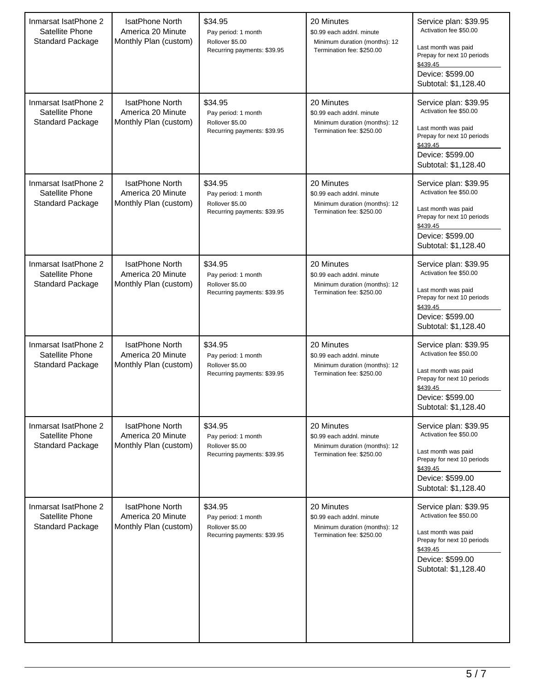| Inmarsat IsatPhone 2<br>Satellite Phone<br><b>Standard Package</b> | <b>IsatPhone North</b><br>America 20 Minute<br>Monthly Plan (custom) | \$34.95<br>Pay period: 1 month<br>Rollover \$5.00<br>Recurring payments: \$39.95 | 20 Minutes<br>\$0.99 each addnl. minute<br>Minimum duration (months): 12<br>Termination fee: \$250.00 | Service plan: \$39.95<br>Activation fee \$50.00<br>Last month was paid<br>Prepay for next 10 periods<br>\$439.45<br>Device: \$599.00<br>Subtotal: \$1,128.40 |
|--------------------------------------------------------------------|----------------------------------------------------------------------|----------------------------------------------------------------------------------|-------------------------------------------------------------------------------------------------------|--------------------------------------------------------------------------------------------------------------------------------------------------------------|
| Inmarsat IsatPhone 2<br>Satellite Phone<br><b>Standard Package</b> | <b>IsatPhone North</b><br>America 20 Minute<br>Monthly Plan (custom) | \$34.95<br>Pay period: 1 month<br>Rollover \$5.00<br>Recurring payments: \$39.95 | 20 Minutes<br>\$0.99 each addnl. minute<br>Minimum duration (months): 12<br>Termination fee: \$250.00 | Service plan: \$39.95<br>Activation fee \$50.00<br>Last month was paid<br>Prepay for next 10 periods<br>\$439.45<br>Device: \$599.00<br>Subtotal: \$1,128.40 |
| Inmarsat IsatPhone 2<br>Satellite Phone<br><b>Standard Package</b> | IsatPhone North<br>America 20 Minute<br>Monthly Plan (custom)        | \$34.95<br>Pay period: 1 month<br>Rollover \$5.00<br>Recurring payments: \$39.95 | 20 Minutes<br>\$0.99 each addnl. minute<br>Minimum duration (months): 12<br>Termination fee: \$250.00 | Service plan: \$39.95<br>Activation fee \$50.00<br>Last month was paid<br>Prepay for next 10 periods<br>\$439.45<br>Device: \$599.00<br>Subtotal: \$1,128.40 |
| Inmarsat IsatPhone 2<br>Satellite Phone<br><b>Standard Package</b> | <b>IsatPhone North</b><br>America 20 Minute<br>Monthly Plan (custom) | \$34.95<br>Pay period: 1 month<br>Rollover \$5.00<br>Recurring payments: \$39.95 | 20 Minutes<br>\$0.99 each addnl. minute<br>Minimum duration (months): 12<br>Termination fee: \$250.00 | Service plan: \$39.95<br>Activation fee \$50.00<br>Last month was paid<br>Prepay for next 10 periods<br>\$439.45<br>Device: \$599.00<br>Subtotal: \$1,128.40 |
| Inmarsat IsatPhone 2<br>Satellite Phone<br><b>Standard Package</b> | <b>IsatPhone North</b><br>America 20 Minute<br>Monthly Plan (custom) | \$34.95<br>Pay period: 1 month<br>Rollover \$5.00<br>Recurring payments: \$39.95 | 20 Minutes<br>\$0.99 each addnl. minute<br>Minimum duration (months): 12<br>Termination fee: \$250.00 | Service plan: \$39.95<br>Activation fee \$50.00<br>Last month was paid<br>Prepay for next 10 periods<br>\$439.45<br>Device: \$599.00<br>Subtotal: \$1,128.40 |
| Inmarsat IsatPhone 2<br>Satellite Phone<br><b>Standard Package</b> | <b>IsatPhone North</b><br>America 20 Minute<br>Monthly Plan (custom) | \$34.95<br>Pay period: 1 month<br>Rollover \$5.00<br>Recurring payments: \$39.95 | 20 Minutes<br>\$0.99 each addnl. minute<br>Minimum duration (months): 12<br>Termination fee: \$250.00 | Service plan: \$39.95<br>Activation fee \$50.00<br>Last month was paid<br>Prepay for next 10 periods<br>\$439.45<br>Device: \$599.00<br>Subtotal: \$1,128.40 |
| Inmarsat IsatPhone 2<br>Satellite Phone<br><b>Standard Package</b> | IsatPhone North<br>America 20 Minute<br>Monthly Plan (custom)        | \$34.95<br>Pay period: 1 month<br>Rollover \$5.00<br>Recurring payments: \$39.95 | 20 Minutes<br>\$0.99 each addnl. minute<br>Minimum duration (months): 12<br>Termination fee: \$250.00 | Service plan: \$39.95<br>Activation fee \$50.00<br>Last month was paid<br>Prepay for next 10 periods<br>\$439.45<br>Device: \$599.00<br>Subtotal: \$1,128.40 |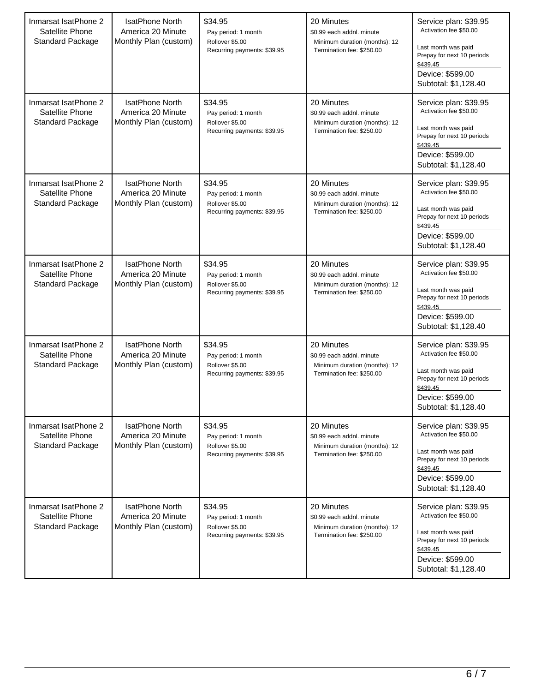| Inmarsat IsatPhone 2<br>Satellite Phone<br><b>Standard Package</b> | <b>IsatPhone North</b><br>America 20 Minute<br>Monthly Plan (custom) | \$34.95<br>Pay period: 1 month<br>Rollover \$5.00<br>Recurring payments: \$39.95 | 20 Minutes<br>\$0.99 each addnl. minute<br>Minimum duration (months): 12<br>Termination fee: \$250.00 | Service plan: \$39.95<br>Activation fee \$50.00<br>Last month was paid<br>Prepay for next 10 periods<br>\$439.45<br>Device: \$599.00<br>Subtotal: \$1,128.40 |
|--------------------------------------------------------------------|----------------------------------------------------------------------|----------------------------------------------------------------------------------|-------------------------------------------------------------------------------------------------------|--------------------------------------------------------------------------------------------------------------------------------------------------------------|
| Inmarsat IsatPhone 2<br>Satellite Phone<br><b>Standard Package</b> | <b>IsatPhone North</b><br>America 20 Minute<br>Monthly Plan (custom) | \$34.95<br>Pay period: 1 month<br>Rollover \$5.00<br>Recurring payments: \$39.95 | 20 Minutes<br>\$0.99 each addnl. minute<br>Minimum duration (months): 12<br>Termination fee: \$250.00 | Service plan: \$39.95<br>Activation fee \$50.00<br>Last month was paid<br>Prepay for next 10 periods<br>\$439.45<br>Device: \$599.00<br>Subtotal: \$1,128.40 |
| Inmarsat IsatPhone 2<br>Satellite Phone<br><b>Standard Package</b> | <b>IsatPhone North</b><br>America 20 Minute<br>Monthly Plan (custom) | \$34.95<br>Pay period: 1 month<br>Rollover \$5.00<br>Recurring payments: \$39.95 | 20 Minutes<br>\$0.99 each addnl. minute<br>Minimum duration (months): 12<br>Termination fee: \$250.00 | Service plan: \$39.95<br>Activation fee \$50.00<br>Last month was paid<br>Prepay for next 10 periods<br>\$439.45<br>Device: \$599.00<br>Subtotal: \$1,128.40 |
| Inmarsat IsatPhone 2<br>Satellite Phone<br><b>Standard Package</b> | <b>IsatPhone North</b><br>America 20 Minute<br>Monthly Plan (custom) | \$34.95<br>Pay period: 1 month<br>Rollover \$5.00<br>Recurring payments: \$39.95 | 20 Minutes<br>\$0.99 each addnl. minute<br>Minimum duration (months): 12<br>Termination fee: \$250.00 | Service plan: \$39.95<br>Activation fee \$50.00<br>Last month was paid<br>Prepay for next 10 periods<br>\$439.45<br>Device: \$599.00<br>Subtotal: \$1,128.40 |
| Inmarsat IsatPhone 2<br>Satellite Phone<br>Standard Package        | <b>IsatPhone North</b><br>America 20 Minute<br>Monthly Plan (custom) | \$34.95<br>Pay period: 1 month<br>Rollover \$5.00<br>Recurring payments: \$39.95 | 20 Minutes<br>\$0.99 each addnl. minute<br>Minimum duration (months): 12<br>Termination fee: \$250.00 | Service plan: \$39.95<br>Activation fee \$50.00<br>Last month was paid<br>Prepay for next 10 periods<br>\$439.45<br>Device: \$599.00<br>Subtotal: \$1,128.40 |
| Inmarsat IsatPhone 2<br>Satellite Phone<br><b>Standard Package</b> | <b>IsatPhone North</b><br>America 20 Minute<br>Monthly Plan (custom) | \$34.95<br>Pay period: 1 month<br>Rollover \$5.00<br>Recurring payments: \$39.95 | 20 Minutes<br>\$0.99 each addnl. minute<br>Minimum duration (months): 12<br>Termination fee: \$250.00 | Service plan: \$39.95<br>Activation fee \$50.00<br>Last month was paid<br>Prepay for next 10 periods<br>\$439.45<br>Device: \$599.00<br>Subtotal: \$1,128.40 |
| Inmarsat IsatPhone 2<br>Satellite Phone<br><b>Standard Package</b> | <b>IsatPhone North</b><br>America 20 Minute<br>Monthly Plan (custom) | \$34.95<br>Pay period: 1 month<br>Rollover \$5.00<br>Recurring payments: \$39.95 | 20 Minutes<br>\$0.99 each addnl. minute<br>Minimum duration (months): 12<br>Termination fee: \$250.00 | Service plan: \$39.95<br>Activation fee \$50.00<br>Last month was paid<br>Prepay for next 10 periods<br>\$439.45<br>Device: \$599.00<br>Subtotal: \$1,128.40 |